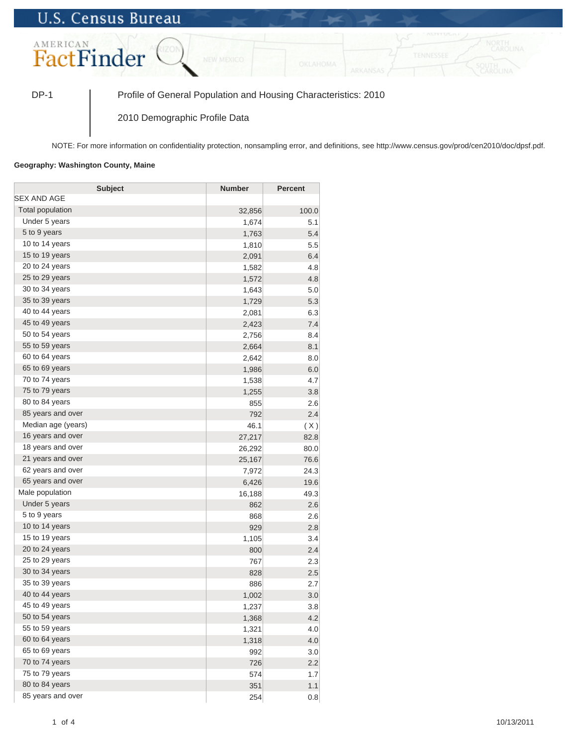## **U.S. Census Bureau**



DP-1 Profile of General Population and Housing Characteristics: 2010

2010 Demographic Profile Data

NOTE: For more information on confidentiality protection, nonsampling error, and definitions, see http://www.census.gov/prod/cen2010/doc/dpsf.pdf.

## **Geography: Washington County, Maine**

| <b>Subject</b>     | <b>Number</b> | <b>Percent</b> |
|--------------------|---------------|----------------|
| <b>SEX AND AGE</b> |               |                |
| Total population   | 32,856        | 100.0          |
| Under 5 years      | 1,674         | 5.1            |
| 5 to 9 years       | 1,763         | 5.4            |
| 10 to 14 years     | 1,810         | 5.5            |
| 15 to 19 years     | 2,091         | 6.4            |
| 20 to 24 years     | 1,582         | 4.8            |
| 25 to 29 years     | 1,572         | 4.8            |
| 30 to 34 years     | 1,643         | 5.0            |
| 35 to 39 years     | 1,729         | 5.3            |
| 40 to 44 years     | 2,081         | 6.3            |
| 45 to 49 years     | 2,423         | 7.4            |
| 50 to 54 years     | 2,756         | 8.4            |
| 55 to 59 years     | 2,664         | 8.1            |
| 60 to 64 years     | 2,642         | 8.0            |
| 65 to 69 years     | 1,986         | 6.0            |
| 70 to 74 years     | 1,538         | 4.7            |
| 75 to 79 years     | 1,255         | 3.8            |
| 80 to 84 years     | 855           | 2.6            |
| 85 years and over  | 792           | 2.4            |
| Median age (years) | 46.1          | (X)            |
| 16 years and over  | 27,217        | 82.8           |
| 18 years and over  | 26,292        | 80.0           |
| 21 years and over  | 25,167        | 76.6           |
| 62 years and over  | 7,972         | 24.3           |
| 65 years and over  | 6,426         | 19.6           |
| Male population    | 16,188        | 49.3           |
| Under 5 years      | 862           | 2.6            |
| 5 to 9 years       | 868           | 2.6            |
| 10 to 14 years     | 929           | 2.8            |
| 15 to 19 years     | 1,105         | 3.4            |
| 20 to 24 years     | 800           | 2.4            |
| 25 to 29 years     | 767           | 2.3            |
| 30 to 34 years     | 828           | 2.5            |
| 35 to 39 years     | 886           | 2.7            |
| 40 to 44 years     | 1,002         | 3.0            |
| 45 to 49 years     | 1,237         | 3.8            |
| 50 to 54 years     | 1,368         | 4.2            |
| 55 to 59 years     | 1,321         | 4.0            |
| 60 to 64 years     | 1,318         | 4.0            |
| 65 to 69 years     | 992           | 3.0            |
| 70 to 74 years     | 726           | 2.2            |
| 75 to 79 years     | 574           | 1.7            |
| 80 to 84 years     | 351           | 1.1            |
| 85 years and over  | 254           | 0.8            |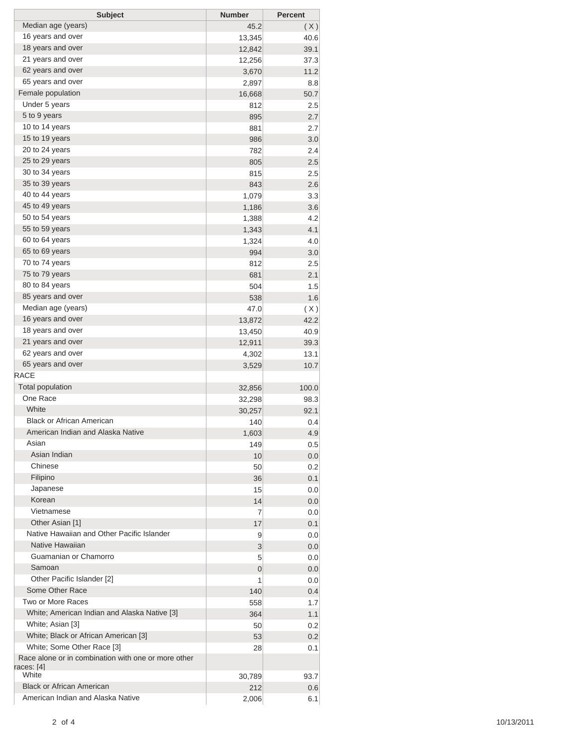| <b>Subject</b>                                                    | <b>Number</b> | <b>Percent</b> |
|-------------------------------------------------------------------|---------------|----------------|
| Median age (years)                                                | 45.2          | (X)            |
| 16 years and over                                                 | 13,345        | 40.6           |
| 18 years and over                                                 | 12,842        | 39.1           |
| 21 years and over                                                 | 12,256        | 37.3           |
| 62 years and over                                                 | 3,670         | 11.2           |
| 65 years and over                                                 | 2,897         | 8.8            |
| Female population                                                 | 16,668        | 50.7           |
| Under 5 years                                                     | 812           | 2.5            |
| 5 to 9 years                                                      | 895           | 2.7            |
| 10 to 14 years                                                    | 881           | 2.7            |
| 15 to 19 years                                                    | 986           | 3.0            |
| 20 to 24 years                                                    | 782           | 2.4            |
| 25 to 29 years                                                    | 805           | 2.5            |
| 30 to 34 years                                                    | 815           | 2.5            |
| 35 to 39 years                                                    | 843           | 2.6            |
| 40 to 44 years                                                    | 1,079         | 3.3            |
| 45 to 49 years                                                    | 1,186         | 3.6            |
| 50 to 54 years                                                    |               |                |
| 55 to 59 years                                                    | 1,388         | 4.2            |
|                                                                   | 1,343         | 4.1            |
| 60 to 64 years                                                    | 1,324         | 4.0            |
| 65 to 69 years                                                    | 994           | 3.0            |
| 70 to 74 years                                                    | 812           | 2.5            |
| 75 to 79 years                                                    | 681           | 2.1            |
| 80 to 84 years                                                    | 504           | 1.5            |
| 85 years and over                                                 | 538           | 1.6            |
| Median age (years)                                                | 47.0          | (X)            |
| 16 years and over                                                 | 13,872        | 42.2           |
| 18 years and over                                                 | 13,450        | 40.9           |
| 21 years and over                                                 | 12,911        | 39.3           |
| 62 years and over                                                 | 4,302         | 13.1           |
| 65 years and over                                                 | 3,529         | 10.7           |
| <b>RACE</b>                                                       |               |                |
| <b>Total population</b>                                           | 32,856        | 100.0          |
| One Race                                                          | 32,298        | 98.3           |
| White                                                             | 30,257        | 92.1           |
| <b>Black or African American</b>                                  | 140           | 0.4            |
| American Indian and Alaska Native                                 | 1,603         | 4.9            |
| Asian                                                             | 149           | 0.5            |
| Asian Indian                                                      | 10            | 0.0            |
| Chinese                                                           | 50            | 0.2            |
| Filipino                                                          | 36            | 0.1            |
| Japanese                                                          | 15            | 0.0            |
| Korean                                                            | 14            | 0.0            |
| Vietnamese                                                        |               |                |
| Other Asian [1]                                                   | 7             | 0.0            |
| Native Hawaiian and Other Pacific Islander                        | 17            | 0.1            |
| Native Hawaiian                                                   | 9             | 0.0            |
|                                                                   | 3             | 0.0            |
| Guamanian or Chamorro                                             | 5             | 0.0            |
| Samoan                                                            | 0             | 0.0            |
| Other Pacific Islander [2]                                        | 1             | 0.0            |
| Some Other Race                                                   | 140           | 0.4            |
| Two or More Races                                                 | 558           | 1.7            |
| White; American Indian and Alaska Native [3]                      | 364           | 1.1            |
| White; Asian [3]                                                  | 50            | 0.2            |
| White; Black or African American [3]                              | 53            | 0.2            |
| White; Some Other Race [3]                                        | 28            | 0.1            |
| Race alone or in combination with one or more other<br>races: [4] |               |                |
| White                                                             | 30,789        | 93.7           |
| <b>Black or African American</b>                                  | 212           | 0.6            |
| American Indian and Alaska Native                                 | 2,006         | 6.1            |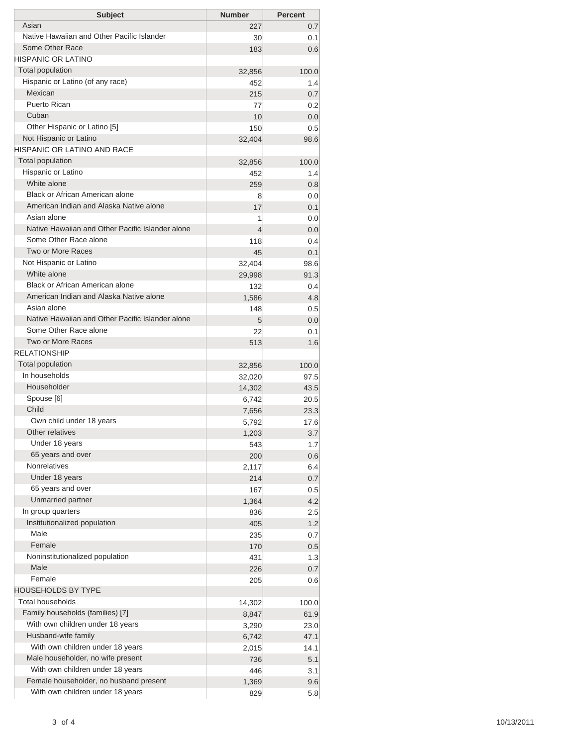| Asian<br>227<br>Native Hawaiian and Other Pacific Islander<br>30<br>Some Other Race<br>183<br><b>HISPANIC OR LATINO</b><br><b>Total population</b><br>32,856<br>Hispanic or Latino (of any race)<br>452<br>Mexican<br>215<br>Puerto Rican<br>77<br>Cuban<br>10<br>Other Hispanic or Latino [5]<br>150<br>Not Hispanic or Latino<br>32,404 | 0.7<br>0.1<br>0.6<br>100.0<br>1.4<br>0.7<br>0.2<br>0.0<br>0.5 |
|-------------------------------------------------------------------------------------------------------------------------------------------------------------------------------------------------------------------------------------------------------------------------------------------------------------------------------------------|---------------------------------------------------------------|
|                                                                                                                                                                                                                                                                                                                                           |                                                               |
|                                                                                                                                                                                                                                                                                                                                           |                                                               |
|                                                                                                                                                                                                                                                                                                                                           |                                                               |
|                                                                                                                                                                                                                                                                                                                                           |                                                               |
|                                                                                                                                                                                                                                                                                                                                           |                                                               |
|                                                                                                                                                                                                                                                                                                                                           |                                                               |
|                                                                                                                                                                                                                                                                                                                                           |                                                               |
|                                                                                                                                                                                                                                                                                                                                           |                                                               |
|                                                                                                                                                                                                                                                                                                                                           |                                                               |
|                                                                                                                                                                                                                                                                                                                                           |                                                               |
|                                                                                                                                                                                                                                                                                                                                           | 98.6                                                          |
| HISPANIC OR LATINO AND RACE                                                                                                                                                                                                                                                                                                               |                                                               |
| <b>Total population</b><br>32,856                                                                                                                                                                                                                                                                                                         | 100.0                                                         |
| Hispanic or Latino<br>452                                                                                                                                                                                                                                                                                                                 | 1.4                                                           |
| White alone<br>259                                                                                                                                                                                                                                                                                                                        | 0.8                                                           |
| Black or African American alone<br>8                                                                                                                                                                                                                                                                                                      | 0.0                                                           |
| American Indian and Alaska Native alone<br>17                                                                                                                                                                                                                                                                                             | 0.1                                                           |
| Asian alone<br>1                                                                                                                                                                                                                                                                                                                          | 0.0                                                           |
| Native Hawaiian and Other Pacific Islander alone<br>4                                                                                                                                                                                                                                                                                     | 0.0                                                           |
| Some Other Race alone<br>118                                                                                                                                                                                                                                                                                                              | 0.4                                                           |
| Two or More Races<br>45                                                                                                                                                                                                                                                                                                                   | 0.1                                                           |
| Not Hispanic or Latino<br>32,404                                                                                                                                                                                                                                                                                                          | 98.6                                                          |
| White alone<br>29,998                                                                                                                                                                                                                                                                                                                     | 91.3                                                          |
| <b>Black or African American alone</b><br>132                                                                                                                                                                                                                                                                                             | 0.4                                                           |
| American Indian and Alaska Native alone<br>1,586                                                                                                                                                                                                                                                                                          | 4.8                                                           |
| Asian alone<br>148                                                                                                                                                                                                                                                                                                                        | 0.5                                                           |
| Native Hawaiian and Other Pacific Islander alone<br>5                                                                                                                                                                                                                                                                                     | 0.0                                                           |
| Some Other Race alone<br>22<br>Two or More Races                                                                                                                                                                                                                                                                                          | 0.1                                                           |
| 513<br><b>RELATIONSHIP</b>                                                                                                                                                                                                                                                                                                                | 1.6                                                           |
|                                                                                                                                                                                                                                                                                                                                           |                                                               |
| Total population<br>32,856<br>In households                                                                                                                                                                                                                                                                                               | 100.0                                                         |
| 32,020<br>Householder                                                                                                                                                                                                                                                                                                                     | 97.5                                                          |
| 14,302<br>Spouse [6]                                                                                                                                                                                                                                                                                                                      | 43.5                                                          |
| 6,742<br>Child                                                                                                                                                                                                                                                                                                                            | 20.5                                                          |
| 7,656<br>Own child under 18 years                                                                                                                                                                                                                                                                                                         | 23.3<br>17.6                                                  |
| 5,792<br>Other relatives<br>1,203                                                                                                                                                                                                                                                                                                         | 3.7                                                           |
| Under 18 years<br>543                                                                                                                                                                                                                                                                                                                     | 1.7                                                           |
| 65 years and over<br>200                                                                                                                                                                                                                                                                                                                  | 0.6                                                           |
| <b>Nonrelatives</b><br>2,117                                                                                                                                                                                                                                                                                                              | 6.4                                                           |
| Under 18 years<br>214                                                                                                                                                                                                                                                                                                                     | 0.7                                                           |
| 65 years and over<br>167                                                                                                                                                                                                                                                                                                                  | 0.5                                                           |
| Unmarried partner<br>1,364                                                                                                                                                                                                                                                                                                                | 4.2                                                           |
| In group quarters<br>836                                                                                                                                                                                                                                                                                                                  | 2.5                                                           |
| Institutionalized population<br>405                                                                                                                                                                                                                                                                                                       | 1.2                                                           |
| Male<br>235                                                                                                                                                                                                                                                                                                                               | 0.7                                                           |
| Female<br>170                                                                                                                                                                                                                                                                                                                             | 0.5                                                           |
| Noninstitutionalized population<br>431                                                                                                                                                                                                                                                                                                    | 1.3                                                           |
| Male<br>226                                                                                                                                                                                                                                                                                                                               | 0.7                                                           |
| Female<br>205                                                                                                                                                                                                                                                                                                                             | 0.6                                                           |
| <b>HOUSEHOLDS BY TYPE</b>                                                                                                                                                                                                                                                                                                                 |                                                               |
| Total households<br>14,302                                                                                                                                                                                                                                                                                                                | 100.0                                                         |
| Family households (families) [7]<br>8,847                                                                                                                                                                                                                                                                                                 | 61.9                                                          |
| With own children under 18 years<br>3,290                                                                                                                                                                                                                                                                                                 | 23.0                                                          |
| Husband-wife family<br>6,742                                                                                                                                                                                                                                                                                                              | 47.1                                                          |
| With own children under 18 years<br>2,015                                                                                                                                                                                                                                                                                                 | 14.1                                                          |
| Male householder, no wife present<br>736                                                                                                                                                                                                                                                                                                  | 5.1                                                           |
| With own children under 18 years<br>446                                                                                                                                                                                                                                                                                                   | 3.1                                                           |
| Female householder, no husband present<br>1,369                                                                                                                                                                                                                                                                                           | 9.6                                                           |
| With own children under 18 years<br>829                                                                                                                                                                                                                                                                                                   | 5.8                                                           |